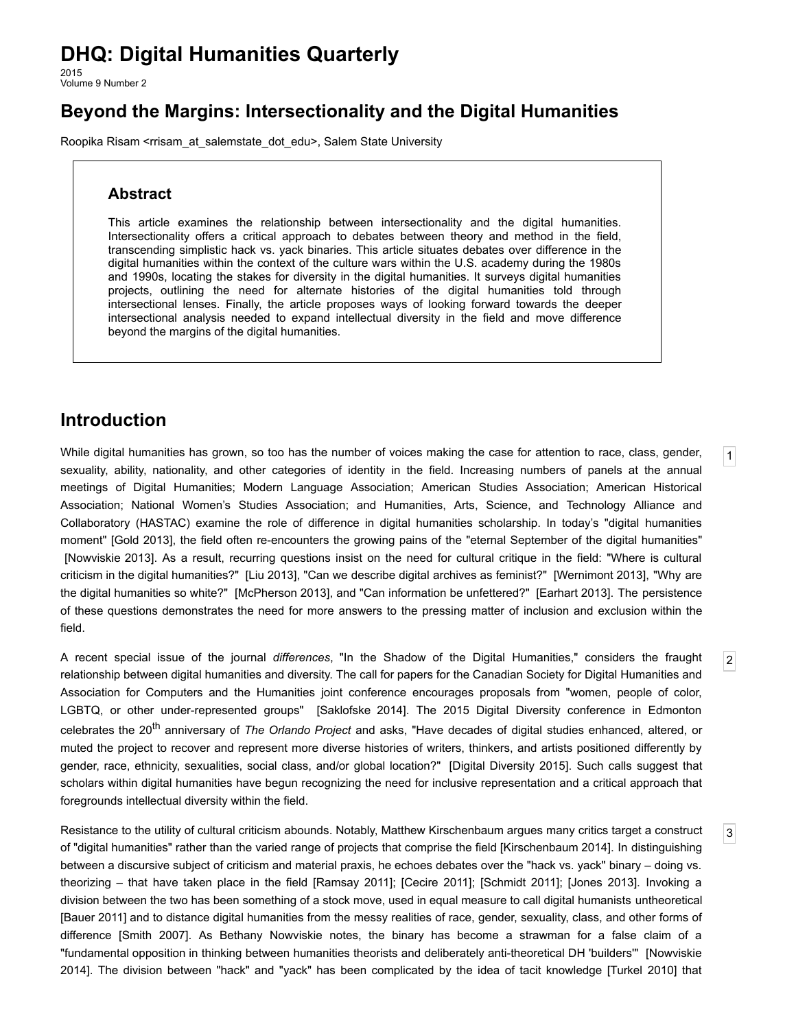# **DHQ: Digital Humanities Quarterly**

2015 Volume 9 Number 2

## **Beyond the Margins: Intersectionality and the Digital Humanities**

[Roopika](http://www.digitalhumanities.org/dhq/vol/9/2/bios.html#risam_r) Risam [<rrisam\\_at\\_salemstate\\_dot\\_edu](mailto:rrisam_at_salemstate_dot_edu)>, Salem State University

#### **Abstract**

This article examines the relationship between intersectionality and the digital humanities. Intersectionality offers a critical approach to debates between theory and method in the field, transcending simplistic hack vs. yack binaries. This article situates debates over difference in the digital humanities within the context of the culture wars within the U.S. academy during the 1980s and 1990s, locating the stakes for diversity in the digital humanities. It surveys digital humanities projects, outlining the need for alternate histories of the digital humanities told through intersectional lenses. Finally, the article proposes ways of looking forward towards the deeper intersectional analysis needed to expand intellectual diversity in the field and move difference beyond the margins of the digital humanities.

#### **Introduction**

<span id="page-0-0"></span>While digital humanities has grown, so too has the number of voices making the case for attention to race, class, gender, sexuality, ability, nationality, and other categories of identity in the field. Increasing numbers of panels at the annual meetings of Digital Humanities; Modern Language Association; American Studies Association; American Historical Association; National Women's Studies Association; and Humanities, Arts, Science, and Technology Alliance and Collaboratory (HASTAC) examine the role of difference in digital humanities scholarship. In today's "digital humanities moment" [Gold [2013](#page-10-0)], the field often re-encounters the growing pains of the "eternal September of the digital humanities" [\[Nowviskie](#page-11-0) 2013]. As a result, recurring questions insist on the need for cultural critique in the field: "Where is cultural criticism in the digital humanities?" [Liu [2013\]](#page-11-1), "Can we describe digital archives as feminist?" [[Wernimont](#page-12-0) 2013], "Why are the digital humanities so white?" [\[McPherson](#page-11-2) 2013], and "Can information be unfettered?" [\[Earhart](#page-10-1) 2013]. The persistence of these questions demonstrates the need for more answers to the pressing matter of inclusion and exclusion within the field.

[1](#page-0-0)

[2](#page-0-1)

[3](#page-0-2)

<span id="page-0-1"></span>A recent special issue of the journal *differences*, "In the Shadow of the Digital Humanities," considers the fraught relationship between digital humanities and diversity. The call for papers for the Canadian Society for Digital Humanities and Association for Computers and the Humanities joint conference encourages proposals from "women, people of color, LGBTQ, or other under-represented groups" [\[Saklofske](#page-12-1) 2014]. The 2015 Digital Diversity conference in Edmonton celebrates the 20 th anniversary of *The Orlando Project* and asks, "Have decades of digital studies enhanced, altered, or muted the project to recover and represent more diverse histories of writers, thinkers, and artists positioned differently by gender, race, ethnicity, sexualities, social class, and/or global location?" [Digital [Diversity](#page-10-2) 2015]. Such calls suggest that scholars within digital humanities have begun recognizing the need for inclusive representation and a critical approach that foregrounds intellectual diversity within the field.

<span id="page-0-2"></span>Resistance to the utility of cultural criticism abounds. Notably, Matthew Kirschenbaum argues many critics target a construct of "digital humanities" rather than the varied range of projects that comprise the field [[Kirschenbaum](#page-11-3) 2014]. In distinguishing between a discursive subject of criticism and material praxis, he echoes debates over the "hack vs. yack" binary – doing vs. theorizing – that have taken place in the field [\[Ramsay](#page-11-4) 2011]; [\[Cecire](#page-10-3) 2011]; [\[Schmidt](#page-12-2) 2011]; [\[Jones](#page-11-5) 2013]. Invoking a division between the two has been something of a stock move, used in equal measure to call digital humanists untheoretical [\[Bauer](#page-10-4) 2011] and to distance digital humanities from the messy realities of race, gender, sexuality, class, and other forms of difference [[Smith](#page-12-3) 2007]. As Bethany Nowviskie notes, the binary has become a strawman for a false claim of a "fundamental opposition in thinking between humanities theorists and deliberately anti-theoretical DH 'builders'" [Nowviskie 2014]. The division between "hack" and "yack" has been complicated by the idea of tacit knowledge [\[Turkel](#page-12-4) 2010] that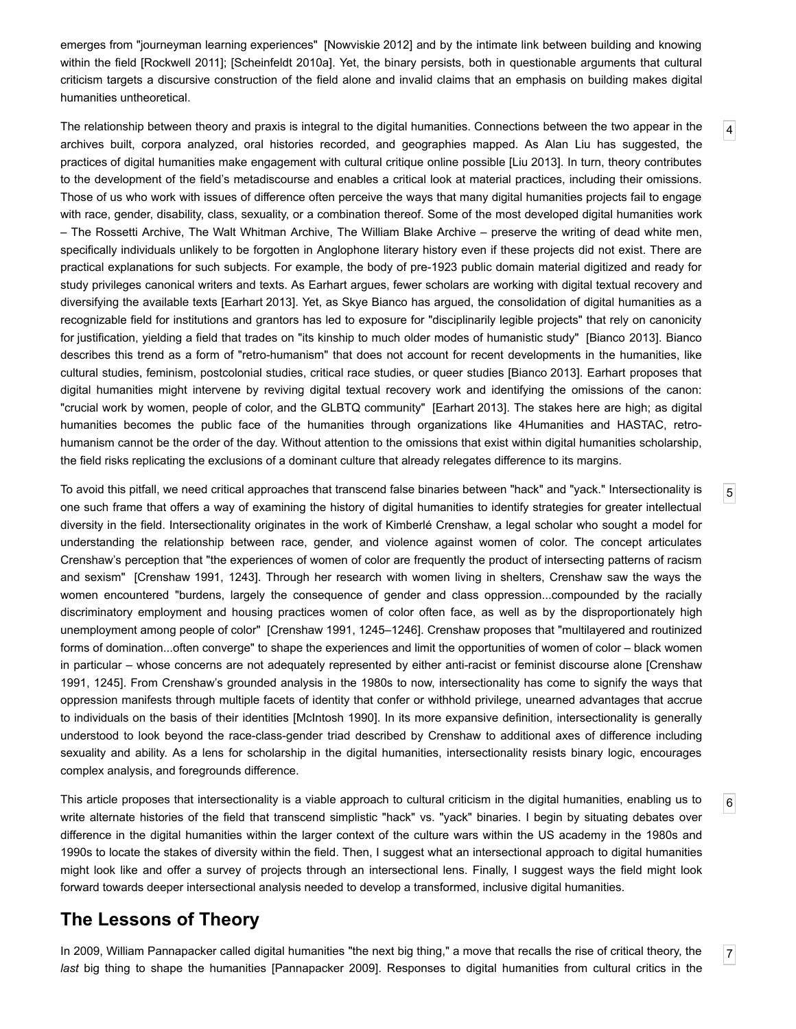emerges from "journeyman learning experiences" [[Nowviskie](#page-11-7) 2012] and by the intimate link between building and knowing within the field [[Rockwell](#page-12-5) 2011]; [\[Scheinfeldt](#page-12-6) 2010a]. Yet, the binary persists, both in questionable arguments that cultural criticism targets a discursive construction of the field alone and invalid claims that an emphasis on building makes digital humanities untheoretical.

<span id="page-1-0"></span>The relationship between theory and praxis is integral to the digital humanities. Connections between the two appear in the archives built, corpora analyzed, oral histories recorded, and geographies mapped. As Alan Liu has suggested, the practices of digital humanities make engagement with cultural critique online possible [Liu [2013\]](#page-11-1). In turn, theory contributes to the development of the field's metadiscourse and enables a critical look at material practices, including their omissions. Those of us who work with issues of difference often perceive the ways that many digital humanities projects fail to engage with race, gender, disability, class, sexuality, or a combination thereof. Some of the most developed digital humanities work – The Rossetti Archive, The Walt Whitman Archive, The William Blake Archive – preserve the writing of dead white men, specifically individuals unlikely to be forgotten in Anglophone literary history even if these projects did not exist. There are practical explanations for such subjects. For example, the body of pre-1923 public domain material digitized and ready for study privileges canonical writers and texts. As Earhart argues, fewer scholars are working with digital textual recovery and diversifying the available texts [[Earhart](#page-10-1) 2013]. Yet, as Skye Bianco has argued, the consolidation of digital humanities as a recognizable field for institutions and grantors has led to exposure for "disciplinarily legible projects" that rely on canonicity for justification, yielding a field that trades on "its kinship to much older modes of humanistic study" [[Bianco](#page-10-5) 2013]. Bianco describes this trend as a form of "retro-humanism" that does not account for recent developments in the humanities, like cultural studies, feminism, postcolonial studies, critical race studies, or queer studies [[Bianco](#page-10-5) 2013]. Earhart proposes that digital humanities might intervene by reviving digital textual recovery work and identifying the omissions of the canon: "crucial work by women, people of color, and the GLBTQ community" [\[Earhart](#page-10-1) 2013]. The stakes here are high; as digital humanities becomes the public face of the humanities through organizations like 4Humanities and HASTAC, retrohumanism cannot be the order of the day. Without attention to the omissions that exist within digital humanities scholarship, the field risks replicating the exclusions of a dominant culture that already relegates difference to its margins.

<span id="page-1-1"></span>To avoid this pitfall, we need critical approaches that transcend false binaries between "hack" and "yack." Intersectionality is one such frame that offers a way of examining the history of digital humanities to identify strategies for greater intellectual diversity in the field. Intersectionality originates in the work of Kimberlé Crenshaw, a legal scholar who sought a model for understanding the relationship between race, gender, and violence against women of color. The concept articulates Crenshaw's perception that "the experiences of women of color are frequently the product of intersecting patterns of racism and sexism" [[Crenshaw](#page-10-6) 1991, 1243]. Through her research with women living in shelters, Crenshaw saw the ways the women encountered "burdens, largely the consequence of gender and class oppression...compounded by the racially discriminatory employment and housing practices women of color often face, as well as by the disproportionately high unemployment among people of color" [[Crenshaw](#page-10-6) 1991, 1245–1246]. Crenshaw proposes that "multilayered and routinized forms of domination...often converge" to shape the experiences and limit the opportunities of women of color – black women in particular – whose concerns are not adequately represented by either anti-racist or feminist discourse alone [Crenshaw 1991, 1245]. From Crenshaw's grounded analysis in the 1980s to now, [intersectionality](#page-10-6) has come to signify the ways that oppression manifests through multiple facets of identity that confer or withhold privilege, unearned advantages that accrue to individuals on the basis of their identities [\[McIntosh](#page-11-8) 1990]. In its more expansive definition, intersectionality is generally understood to look beyond the race-class-gender triad described by Crenshaw to additional axes of difference including sexuality and ability. As a lens for scholarship in the digital humanities, intersectionality resists binary logic, encourages complex analysis, and foregrounds difference.

<span id="page-1-2"></span>This article proposes that intersectionality is a viable approach to cultural criticism in the digital humanities, enabling us to write alternate histories of the field that transcend simplistic "hack" vs. "yack" binaries. I begin by situating debates over difference in the digital humanities within the larger context of the culture wars within the US academy in the 1980s and 1990s to locate the stakes of diversity within the field. Then, I suggest what an intersectional approach to digital humanities might look like and offer a survey of projects through an intersectional lens. Finally, I suggest ways the field might look forward towards deeper intersectional analysis needed to develop a transformed, inclusive digital humanities.

## **The Lessons of Theory**

<span id="page-1-3"></span>In 2009, William Pannapacker called digital humanities "the next big thing," a move that recalls the rise of critical theory, the *last* big thing to shape the humanities [\[Pannapacker](#page-11-9) 2009]. Responses to digital humanities from cultural critics in the [5](#page-1-1)

[6](#page-1-2)

[7](#page-1-3)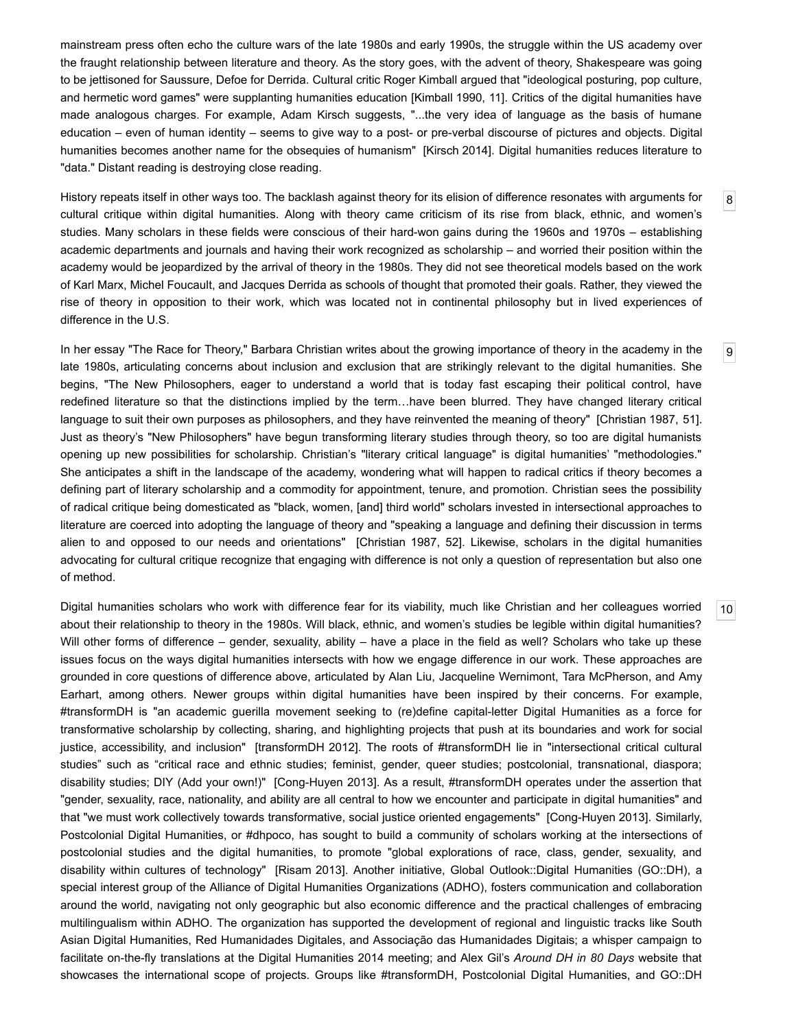mainstream press often echo the culture wars of the late 1980s and early 1990s, the struggle within the US academy over the fraught relationship between literature and theory. As the story goes, with the advent of theory, Shakespeare was going to be jettisoned for Saussure, Defoe for Derrida. Cultural critic Roger Kimball argued that "ideological posturing, pop culture, and hermetic word games" were supplanting humanities education [[Kimball](#page-11-10) 1990, 11]. Critics of the digital humanities have made analogous charges. For example, Adam Kirsch suggests, "...the very idea of language as the basis of humane education – even of human identity – seems to give way to a post- or pre-verbal discourse of pictures and objects. Digital humanities becomes another name for the obsequies of humanism" [\[Kirsch](#page-11-11) 2014]. Digital humanities reduces literature to "data." Distant reading is destroying close reading.

<span id="page-2-0"></span>History repeats itself in other ways too. The backlash against theory for its elision of difference resonates with arguments for cultural critique within digital humanities. Along with theory came criticism of its rise from black, ethnic, and women's studies. Many scholars in these fields were conscious of their hard-won gains during the 1960s and 1970s – establishing academic departments and journals and having their work recognized as scholarship – and worried their position within the academy would be jeopardized by the arrival of theory in the 1980s. They did not see theoretical models based on the work of Karl Marx, Michel Foucault, and Jacques Derrida as schools of thought that promoted their goals. Rather, they viewed the rise of theory in opposition to their work, which was located not in continental philosophy but in lived experiences of difference in the U.S.

<span id="page-2-1"></span>In her essay "The Race for Theory," Barbara Christian writes about the growing importance of theory in the academy in the late 1980s, articulating concerns about inclusion and exclusion that are strikingly relevant to the digital humanities. She begins, "The New Philosophers, eager to understand a world that is today fast escaping their political control, have redefined literature so that the distinctions implied by the term…have been blurred. They have changed literary critical language to suit their own purposes as philosophers, and they have reinvented the meaning of theory" [[Christian](#page-10-7) 1987, 51]. Just as theory's "New Philosophers" have begun transforming literary studies through theory, so too are digital humanists opening up new possibilities for scholarship. Christian's "literary critical language" is digital humanities' "methodologies." She anticipates a shift in the landscape of the academy, wondering what will happen to radical critics if theory becomes a defining part of literary scholarship and a commodity for appointment, tenure, and promotion. Christian sees the possibility of radical critique being domesticated as "black, women, [and] third world" scholars invested in intersectional approaches to literature are coerced into adopting the language of theory and "speaking a language and defining their discussion in terms alien to and opposed to our needs and orientations" [\[Christian](#page-10-7) 1987, 52]. Likewise, scholars in the digital humanities advocating for cultural critique recognize that engaging with difference is not only a question of representation but also one of method.

<span id="page-2-2"></span>Digital humanities scholars who work with difference fear for its viability, much like Christian and her colleagues worried about their relationship to theory in the 1980s. Will black, ethnic, and women's studies be legible within digital humanities? Will other forms of difference – gender, sexuality, ability – have a place in the field as well? Scholars who take up these issues focus on the ways digital humanities intersects with how we engage difference in our work. These approaches are grounded in core questions of difference above, articulated by Alan Liu, Jacqueline Wernimont, Tara McPherson, and Amy Earhart, among others. Newer groups within digital humanities have been inspired by their concerns. For example, #transformDH is "an academic guerilla movement seeking to (re)define capital-letter Digital Humanities as a force for transformative scholarship by collecting, sharing, and highlighting projects that push at its boundaries and work for social justice, accessibility, and inclusion" [\[transformDH](#page-12-7) 2012]. The roots of #transformDH lie in "intersectional critical cultural studies" such as "critical race and ethnic studies; feminist, gender, queer studies; postcolonial, transnational, diaspora; disability studies; DIY (Add your own!)" [Cong-Huyen 2013]. As a result, #transformDH operates under the assertion that "gender, sexuality, race, nationality, and ability are all central to how we encounter and participate in digital humanities" and that "we must work collectively towards transformative, social justice oriented engagements" [Cong-Huyen 2013]. Similarly, Postcolonial Digital Humanities, or #dhpoco, has sought to build a community of scholars working at the intersections of postcolonial studies and the digital humanities, to promote "global explorations of race, class, gender, sexuality, and disability within cultures of technology" [\[Risam](#page-11-12) 2013]. Another initiative, Global Outlook::Digital Humanities (GO::DH), a special interest group of the Alliance of Digital Humanities Organizations (ADHO), fosters communication and collaboration around the world, navigating not only geographic but also economic difference and the practical challenges of embracing multilingualism within ADHO. The organization has supported the development of regional and linguistic tracks like South Asian Digital Humanities, Red Humanidades Digitales, and Associação das Humanidades Digitais; a whisper campaign to facilitate on-the-fly translations at the Digital Humanities 2014 meeting; and Alex Gil's Around DH in 80 Days website that showcases the international scope of projects. Groups like #transformDH, Postcolonial Digital Humanities, and GO::DH

[10](#page-2-2)

[8](#page-2-0)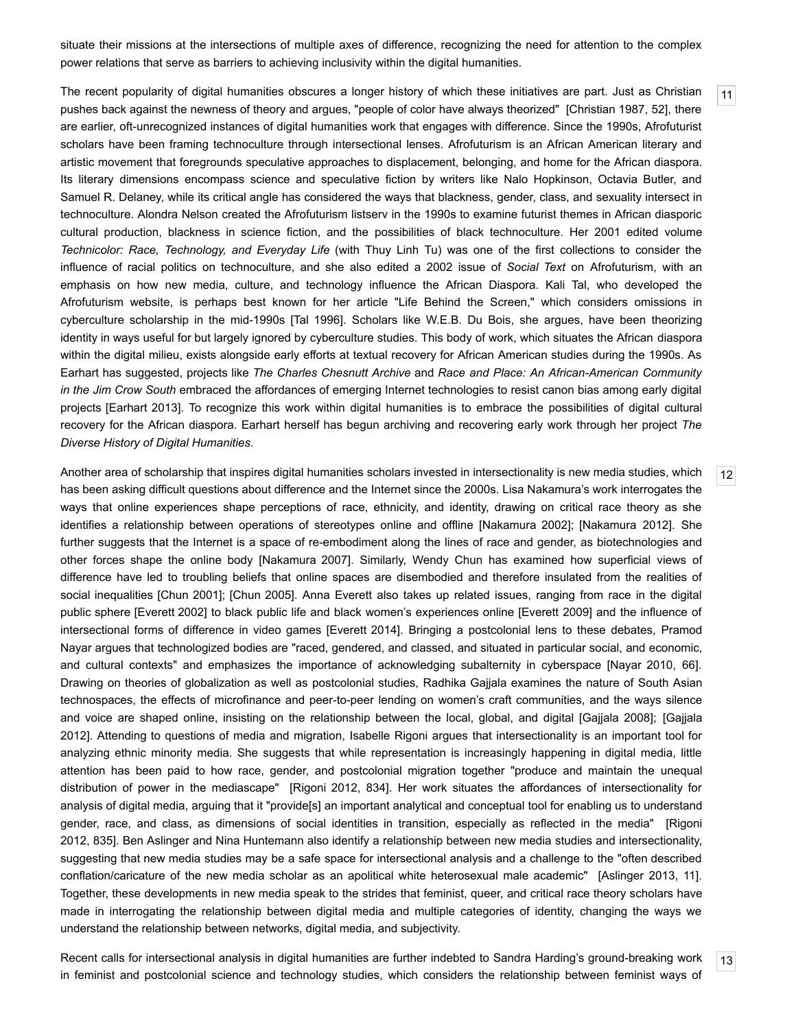situate their missions at the intersections of multiple axes of difference, recognizing the need for attention to the complex power relations that serve as barriers to achieving inclusivity within the digital humanities.

<span id="page-3-0"></span>The recent popularity of digital humanities obscures a longer history of which these initiatives are part. Just as Christian pushes back against the newness of theory and argues, "people of color have always theorized" [[Christian](#page-10-7) 1987, 52], there are earlier, oft-unrecognized instances of digital humanities work that engages with difference. Since the 1990s, Afrofuturist scholars have been framing technoculture through intersectional lenses. Afrofuturism is an African American literary and artistic movement that foregrounds speculative approaches to displacement, belonging, and home for the African diaspora. Its literary dimensions encompass science and speculative fiction by writers like Nalo Hopkinson, Octavia Butler, and Samuel R. Delaney, while its critical angle has considered the ways that blackness, gender, class, and sexuality intersect in technoculture. Alondra Nelson created the Afrofuturism listserv in the 1990s to examine futurist themes in African diasporic cultural production, blackness in science fiction, and the possibilities of black technoculture. Her 2001 edited volume *Technicolor: Race, Technology, and Everyday Life* (with Thuy Linh Tu) was one of the first collections to consider the influence of racial politics on technoculture, and she also edited a 2002 issue of *Social Text* on Afrofuturism, with an emphasis on how new media, culture, and technology influence the African Diaspora. Kali Tal, who developed the Afrofuturism website, is perhaps best known for her article "Life Behind the Screen," which considers omissions in cyberculture scholarship in the mid-1990s [Tal [1996](#page-12-8)]. Scholars like W.E.B. Du Bois, she argues, have been theorizing identity in ways useful for but largely ignored by cyberculture studies. This body of work, which situates the African diaspora within the digital milieu, exists alongside early efforts at textual recovery for African American studies during the 1990s. As Earhart has suggested, projects like *The Charles Chesnutt Archive* and *Race and Place: An AfricanAmerican Community in the Jim Crow South* embraced the affordances of emerging Internet technologies to resist canon bias among early digital projects [[Earhart](#page-10-1) 2013]. To recognize this work within digital humanities is to embrace the possibilities of digital cultural recovery for the African diaspora. Earhart herself has begun archiving and recovering early work through her project *The Diverse History of Digital Humanities*.

<span id="page-3-1"></span>Another area of scholarship that inspires digital humanities scholars invested in intersectionality is new media studies, which has been asking difficult questions about difference and the Internet since the 2000s. Lisa Nakamura's work interrogates the ways that online experiences shape perceptions of race, ethnicity, and identity, drawing on critical race theory as she identifies a relationship between operations of stereotypes online and offline [\[Nakamura](#page-11-13) 2002]; [\[Nakamura](#page-11-14) 2012]. She further suggests that the Internet is a space of re-embodiment along the lines of race and gender, as biotechnologies and other forces shape the online body [\[Nakamura](#page-11-15) 2007]. Similarly, Wendy Chun has examined how superficial views of difference have led to troubling beliefs that online spaces are disembodied and therefore insulated from the realities of social inequalities [\[Chun](#page-10-9) 2001]; [\[Chun](#page-10-10) 2005]. Anna Everett also takes up related issues, ranging from race in the digital public sphere [[Everett](#page-10-11) 2002] to black public life and black women's experiences online [\[Everett](#page-10-12) 2009] and the influence of intersectional forms of difference in video games [[Everett](#page-10-13) 2014]. Bringing a postcolonial lens to these debates, Pramod Nayar argues that technologized bodies are "raced, gendered, and classed, and situated in particular social, and economic, and cultural contexts" and emphasizes the importance of acknowledging subalternity in cyberspace [\[Nayar](#page-11-16) 2010, 66]. Drawing on theories of globalization as well as postcolonial studies, Radhika Gajjala examines the nature of South Asian technospaces, the effects of microfinance and peer-to-peer lending on women's craft communities, and the ways silence and voice are shaped online, insisting on the relationship between the local, global, and digital [\[Gajjala](#page-10-14) 2008]; [Gajjala 2012]. Attending to questions of media and migration, Isabelle Rigoni argues that [intersectionality](#page-10-15) is an important tool for analyzing ethnic minority media. She suggests that while representation is increasingly happening in digital media, little attention has been paid to how race, gender, and postcolonial migration together "produce and maintain the unequal distribution of power in the mediascape" [\[Rigoni](#page-11-17) 2012, 834]. Her work situates the affordances of intersectionality for analysis of digital media, arguing that it "provide[s] an important analytical and conceptual tool for enabling us to understand gender, race, and class, as dimensions of social identities in transition, especially as reflected in the media" [Rigoni 2012, 835]. Ben Aslinger and Nina Huntemann also identify a relationship between new media studies and [intersectionality,](#page-11-17) suggesting that new media studies may be a safe space for intersectional analysis and a challenge to the "often described conflation/caricature of the new media scholar as an apolitical white heterosexual male academic" [[Aslinger](#page-10-16) 2013, 11]. Together, these developments in new media speak to the strides that feminist, queer, and critical race theory scholars have made in interrogating the relationship between digital media and multiple categories of identity, changing the ways we understand the relationship between networks, digital media, and subjectivity.

<span id="page-3-2"></span>Recent calls for intersectional analysis in digital humanities are further indebted to Sandra Harding's ground-breaking work in feminist and postcolonial science and technology studies, which considers the relationship between feminist ways of [12](#page-3-1)

[13](#page-3-2)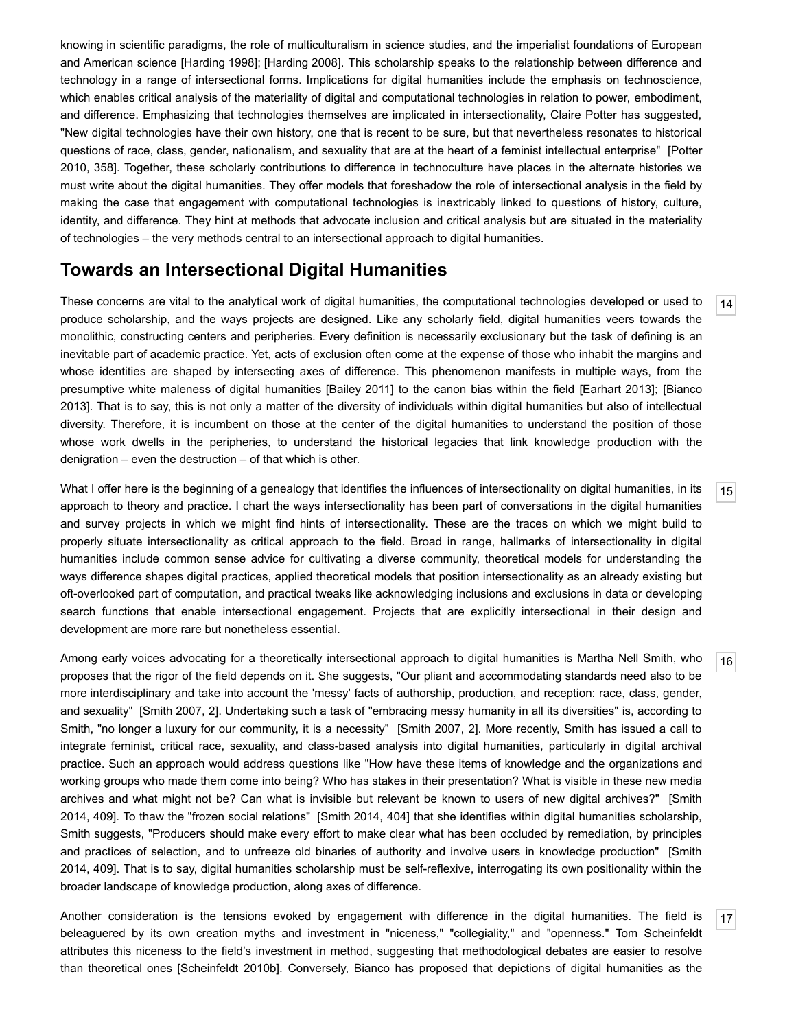knowing in scientific paradigms, the role of multiculturalism in science studies, and the imperialist foundations of European and American science [\[Harding](#page-10-17) 1998]; [[Harding](#page-11-18) 2008]. This scholarship speaks to the relationship between difference and technology in a range of intersectional forms. Implications for digital humanities include the emphasis on technoscience, which enables critical analysis of the materiality of digital and computational technologies in relation to power, embodiment, and difference. Emphasizing that technologies themselves are implicated in intersectionality, Claire Potter has suggested, "New digital technologies have their own history, one that is recent to be sure, but that nevertheless resonates to historical questions of race, class, gender, nationalism, and sexuality that are at the heart of a feminist intellectual enterprise" [Potter 2010, 358]. Together, these scholarly contributions to difference in [technoculture](#page-11-19) have places in the alternate histories we must write about the digital humanities. They offer models that foreshadow the role of intersectional analysis in the field by making the case that engagement with computational technologies is inextricably linked to questions of history, culture, identity, and difference. They hint at methods that advocate inclusion and critical analysis but are situated in the materiality of technologies – the very methods central to an intersectional approach to digital humanities.

## **Towards an Intersectional Digital Humanities**

<span id="page-4-0"></span>These concerns are vital to the analytical work of digital humanities, the computational technologies developed or used to produce scholarship, and the ways projects are designed. Like any scholarly field, digital humanities veers towards the monolithic, constructing centers and peripheries. Every definition is necessarily exclusionary but the task of defining is an inevitable part of academic practice. Yet, acts of exclusion often come at the expense of those who inhabit the margins and whose identities are shaped by intersecting axes of difference. This phenomenon manifests in multiple ways, from the [presumptive](#page-10-5) white maleness of digital humanities [\[Bailey](#page-10-18) 2011] to the canon bias within the field [\[Earhart](#page-10-1) 2013]; [Bianco 2013]. That is to say, this is not only a matter of the diversity of individuals within digital humanities but also of intellectual diversity. Therefore, it is incumbent on those at the center of the digital humanities to understand the position of those whose work dwells in the peripheries, to understand the historical legacies that link knowledge production with the denigration – even the destruction – of that which is other.

<span id="page-4-1"></span>What I offer here is the beginning of a genealogy that identifies the influences of intersectionality on digital humanities, in its approach to theory and practice. I chart the ways intersectionality has been part of conversations in the digital humanities and survey projects in which we might find hints of intersectionality. These are the traces on which we might build to properly situate intersectionality as critical approach to the field. Broad in range, hallmarks of intersectionality in digital humanities include common sense advice for cultivating a diverse community, theoretical models for understanding the ways difference shapes digital practices, applied theoretical models that position intersectionality as an already existing but oft-overlooked part of computation, and practical tweaks like acknowledging inclusions and exclusions in data or developing search functions that enable intersectional engagement. Projects that are explicitly intersectional in their design and development are more rare but nonetheless essential.

<span id="page-4-2"></span>Among early voices advocating for a theoretically intersectional approach to digital humanities is Martha Nell Smith, who proposes that the rigor of the field depends on it. She suggests, "Our pliant and accommodating standards need also to be more interdisciplinary and take into account the 'messy' facts of authorship, production, and reception: race, class, gender, and sexuality" [[Smith](#page-12-3) 2007, 2]. Undertaking such a task of "embracing messy humanity in all its diversities" is, according to Smith, "no longer a luxury for our community, it is a necessity" [\[Smith](#page-12-3) 2007, 2]. More recently, Smith has issued a call to integrate feminist, critical race, sexuality, and class-based analysis into digital humanities, particularly in digital archival practice. Such an approach would address questions like "How have these items of knowledge and the organizations and working groups who made them come into being? Who has stakes in their presentation? What is visible in these new media archives and what might not be? Can what is invisible but relevant be known to users of new digital archives?" [Smith 2014, 409]. To thaw the "frozen social relations" [\[Smith](#page-12-9) 2014, 404] that she identifies within digital humanities [scholarship,](#page-12-9) Smith suggests, "Producers should make every effort to make clear what has been occluded by remediation, by principles and practices of selection, and to unfreeze old binaries of authority and involve users in knowledge production" [Smith 2014, 409]. That is to say, digital humanities scholarship must be [selfreflexive,](#page-12-9) interrogating its own positionality within the broader landscape of knowledge production, along axes of difference.

<span id="page-4-3"></span>Another consideration is the tensions evoked by engagement with difference in the digital humanities. The field is beleaguered by its own creation myths and investment in "niceness," "collegiality," and "openness." Tom Scheinfeldt attributes this niceness to the field's investment in method, suggesting that methodological debates are easier to resolve than theoretical ones [[Scheinfeldt](#page-12-10) 2010b]. Conversely, Bianco has proposed that depictions of digital humanities as the

[14](#page-4-0)

[15](#page-4-1)

[16](#page-4-2)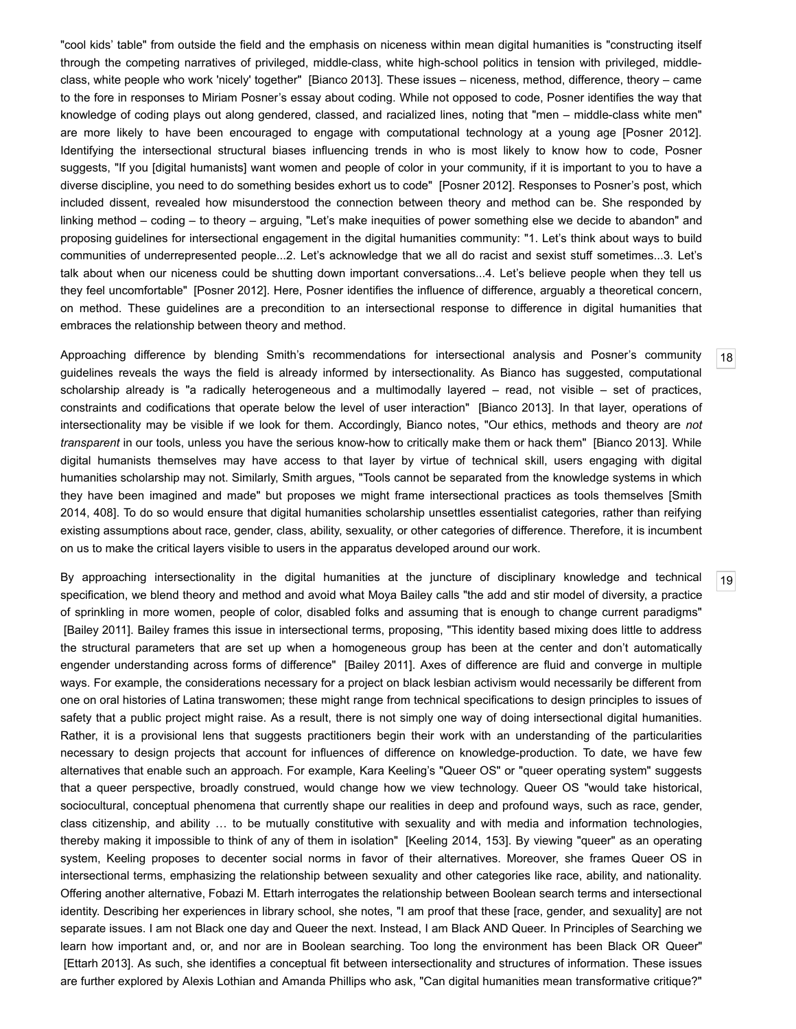"cool kids' table" from outside the field and the emphasis on niceness within mean digital humanities is "constructing itself through the competing narratives of privileged, middle-class, white high-school politics in tension with privileged, middleclass, white people who work 'nicely' together" [[Bianco](#page-10-5) 2013]. These issues – niceness, method, difference, theory – came to the fore in responses to Miriam Posner's essay about coding. While not opposed to code, Posner identifies the way that knowledge of coding plays out along gendered, classed, and racialized lines, noting that "men – middle-class white men" are more likely to have been encouraged to engage with computational technology at a young age [\[Posner](#page-11-20) 2012]. Identifying the intersectional structural biases influencing trends in who is most likely to know how to code, Posner suggests, "If you [digital humanists] want women and people of color in your community, if it is important to you to have a diverse discipline, you need to do something besides exhort us to code" [\[Posner](#page-11-20) 2012]. Responses to Posner's post, which included dissent, revealed how misunderstood the connection between theory and method can be. She responded by linking method – coding – to theory – arguing, "Let's make inequities of power something else we decide to abandon" and proposing guidelines for intersectional engagement in the digital humanities community: "1. Let's think about ways to build communities of underrepresented people...2. Let's acknowledge that we all do racist and sexist stuff sometimes...3. Let's talk about when our niceness could be shutting down important conversations...4. Let's believe people when they tell us they feel uncomfortable" [[Posner](#page-11-20) 2012]. Here, Posner identifies the influence of difference, arguably a theoretical concern, on method. These guidelines are a precondition to an intersectional response to difference in digital humanities that embraces the relationship between theory and method.

<span id="page-5-0"></span>Approaching difference by blending Smith's recommendations for intersectional analysis and Posner's community guidelines reveals the ways the field is already informed by intersectionality. As Bianco has suggested, computational scholarship already is "a radically heterogeneous and a multimodally layered – read, not visible – set of practices, constraints and codifications that operate below the level of user interaction" [\[Bianco](#page-10-5) 2013]. In that layer, operations of intersectionality may be visible if we look for them. Accordingly, Bianco notes, "Our ethics, methods and theory are *not transparent* in our tools, unless you have the serious knowhow to critically make them or hack them" [[Bianco](#page-10-5) 2013]. While digital humanists themselves may have access to that layer by virtue of technical skill, users engaging with digital humanities scholarship may not. Similarly, Smith argues, "Tools cannot be separated from the knowledge systems in which they have been imagined and made" but proposes we might frame [intersectional](#page-12-9) practices as tools themselves [Smith 2014, 408]. To do so would ensure that digital humanities scholarship unsettles essentialist categories, rather than reifying existing assumptions about race, gender, class, ability, sexuality, or other categories of difference. Therefore, it is incumbent on us to make the critical layers visible to users in the apparatus developed around our work.

<span id="page-5-1"></span>By approaching intersectionality in the digital humanities at the juncture of disciplinary knowledge and technical specification, we blend theory and method and avoid what Moya Bailey calls "the add and stir model of diversity, a practice of sprinkling in more women, people of color, disabled folks and assuming that is enough to change current paradigms" [\[Bailey](#page-10-18) 2011]. Bailey frames this issue in intersectional terms, proposing, "This identity based mixing does little to address the structural parameters that are set up when a homogeneous group has been at the center and don't automatically engender understanding across forms of difference" [\[Bailey](#page-10-18) 2011]. Axes of difference are fluid and converge in multiple ways. For example, the considerations necessary for a project on black lesbian activism would necessarily be different from one on oral histories of Latina transwomen; these might range from technical specifications to design principles to issues of safety that a public project might raise. As a result, there is not simply one way of doing intersectional digital humanities. Rather, it is a provisional lens that suggests practitioners begin their work with an understanding of the particularities necessary to design projects that account for influences of difference on knowledge-production. To date, we have few alternatives that enable such an approach. For example, Kara Keeling's "Queer OS" or "queer operating system" suggests that a queer perspective, broadly construed, would change how we view technology. Queer OS "would take historical, sociocultural, conceptual phenomena that currently shape our realities in deep and profound ways, such as race, gender, class citizenship, and ability … to be mutually constitutive with sexuality and with media and information technologies, thereby making it impossible to think of any of them in isolation" [[Keeling](#page-11-21) 2014, 153]. By viewing "queer" as an operating system, Keeling proposes to decenter social norms in favor of their alternatives. Moreover, she frames Queer OS in intersectional terms, emphasizing the relationship between sexuality and other categories like race, ability, and nationality. Offering another alternative, Fobazi M. Ettarh interrogates the relationship between Boolean search terms and intersectional identity. Describing her experiences in library school, she notes, "I am proof that these [race, gender, and sexuality] are not separate issues. I am not Black one day and Queer the next. Instead, I am Black AND Queer. In Principles of Searching we learn how important and, or, and nor are in Boolean searching. Too long the environment has been Black OR Queer" [\[Ettarh](#page-10-19) 2013]. As such, she identifies a conceptual fit between intersectionality and structures of information. These issues are further explored by Alexis Lothian and Amanda Phillips who ask, "Can digital humanities mean transformative critique?"

[19](#page-5-1)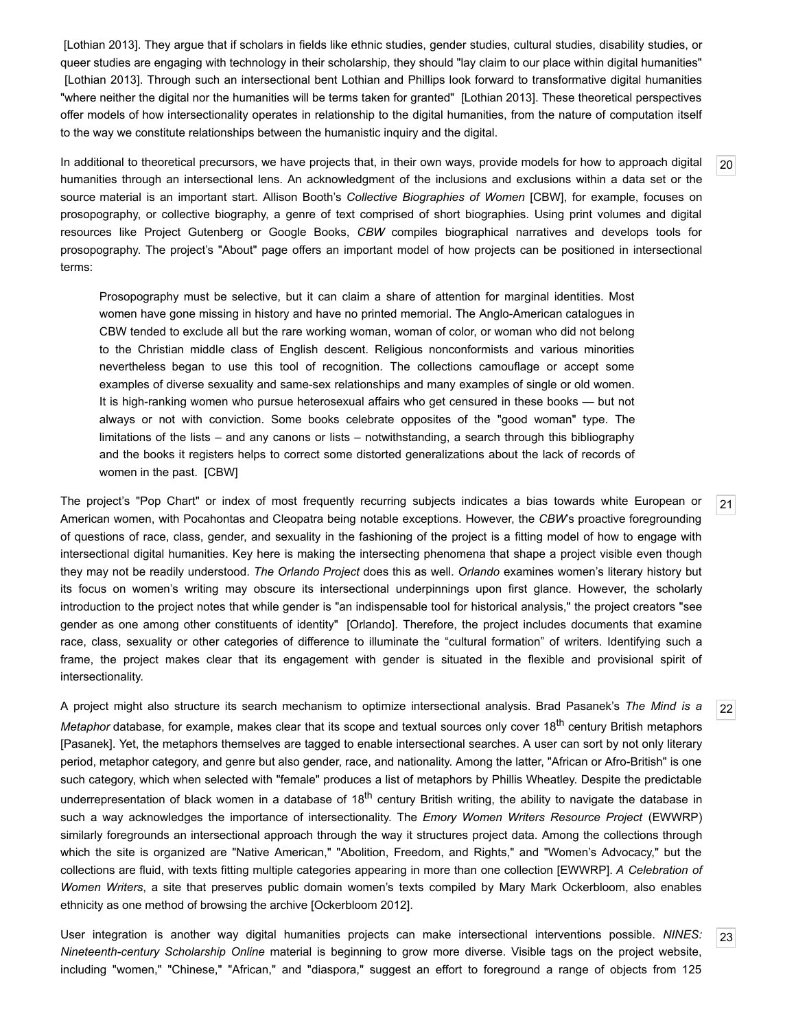[\[Lothian](#page-11-22) 2013]. They argue that if scholars in fields like ethnic studies, gender studies, cultural studies, disability studies, or queer studies are engaging with technology in their scholarship, they should "lay claim to our place within digital humanities" [\[Lothian](#page-11-22) 2013]. Through such an intersectional bent Lothian and Phillips look forward to transformative digital humanities "where neither the digital nor the humanities will be terms taken for granted" [[Lothian](#page-11-22) 2013]. These theoretical perspectives offer models of how intersectionality operates in relationship to the digital humanities, from the nature of computation itself to the way we constitute relationships between the humanistic inquiry and the digital.

<span id="page-6-0"></span>In additional to theoretical precursors, we have projects that, in their own ways, provide models for how to approach digital humanities through an intersectional lens. An acknowledgment of the inclusions and exclusions within a data set or the source material is an important start. Allison Booth's *Collective Biographies of Women* [\[CBW](#page-10-20)], for example, focuses on prosopography, or collective biography, a genre of text comprised of short biographies. Using print volumes and digital resources like Project Gutenberg or Google Books, *CBW* compiles biographical narratives and develops tools for prosopography. The project's "About" page offers an important model of how projects can be positioned in intersectional terms:

Prosopography must be selective, but it can claim a share of attention for marginal identities. Most women have gone missing in history and have no printed memorial. The Anglo-American catalogues in CBW tended to exclude all but the rare working woman, woman of color, or woman who did not belong to the Christian middle class of English descent. Religious nonconformists and various minorities nevertheless began to use this tool of recognition. The collections camouflage or accept some examples of diverse sexuality and same-sex relationships and many examples of single or old women. It is high-ranking women who pursue heterosexual affairs who get censured in these books — but not always or not with conviction. Some books celebrate opposites of the "good woman" type. The limitations of the lists – and any canons or lists – notwithstanding, a search through this bibliography and the books it registers helps to correct some distorted generalizations about the lack of records of women in the past. [\[CBW](#page-10-20)]

<span id="page-6-1"></span>The project's "Pop Chart" or index of most frequently recurring subjects indicates a bias towards white European or American women, with Pocahontas and Cleopatra being notable exceptions. However, the *CBW*'s proactive foregrounding of questions of race, class, gender, and sexuality in the fashioning of the project is a fitting model of how to engage with intersectional digital humanities. Key here is making the intersecting phenomena that shape a project visible even though they may not be readily understood. *The Orlando Project* does this as well. *Orlando* examines women's literary history but its focus on women's writing may obscure its intersectional underpinnings upon first glance. However, the scholarly introduction to the project notes that while gender is "an indispensable tool for historical analysis," the project creators "see gender as one among other constituents of identity" [\[Orlando](#page-11-23)]. Therefore, the project includes documents that examine race, class, sexuality or other categories of difference to illuminate the "cultural formation" of writers. Identifying such a frame, the project makes clear that its engagement with gender is situated in the flexible and provisional spirit of intersectionality.

<span id="page-6-2"></span>A project might also structure its search mechanism to optimize intersectional analysis. Brad Pasanek's *The Mind is a* Metaphor database, for example, makes clear that its scope and textual sources only cover 18<sup>th</sup> century British metaphors [\[Pasanek](#page-11-24)]. Yet, the metaphors themselves are tagged to enable intersectional searches. A user can sort by not only literary period, metaphor category, and genre but also gender, race, and nationality. Among the latter, "African or Afro-British" is one such category, which when selected with "female" produces a list of metaphors by Phillis Wheatley. Despite the predictable underrepresentation of black women in a database of 18<sup>th</sup> century British writing, the ability to navigate the database in such a way acknowledges the importance of intersectionality. The *Emory Women Writers Resource Project* (EWWRP) similarly foregrounds an intersectional approach through the way it structures project data. Among the collections through which the site is organized are "Native American," "Abolition, Freedom, and Rights," and "Women's Advocacy," but the collections are fluid, with texts fitting multiple categories appearing in more than one collection [\[EWWRP](#page-10-21)]. *A Celebration of Women Writers*, a site that preserves public domain women's texts compiled by Mary Mark Ockerbloom, also enables ethnicity as one method of browsing the archive [[Ockerbloom](#page-11-25) 2012].

<span id="page-6-3"></span>User integration is another way digital humanities projects can make intersectional interventions possible. *NINES: Nineteenth-century Scholarship Online* material is beginning to grow more diverse. Visible tags on the project website, including "women," "Chinese," "African," and "diaspora," suggest an effort to foreground a range of objects from 125 [20](#page-6-0)

[21](#page-6-1)

[22](#page-6-2)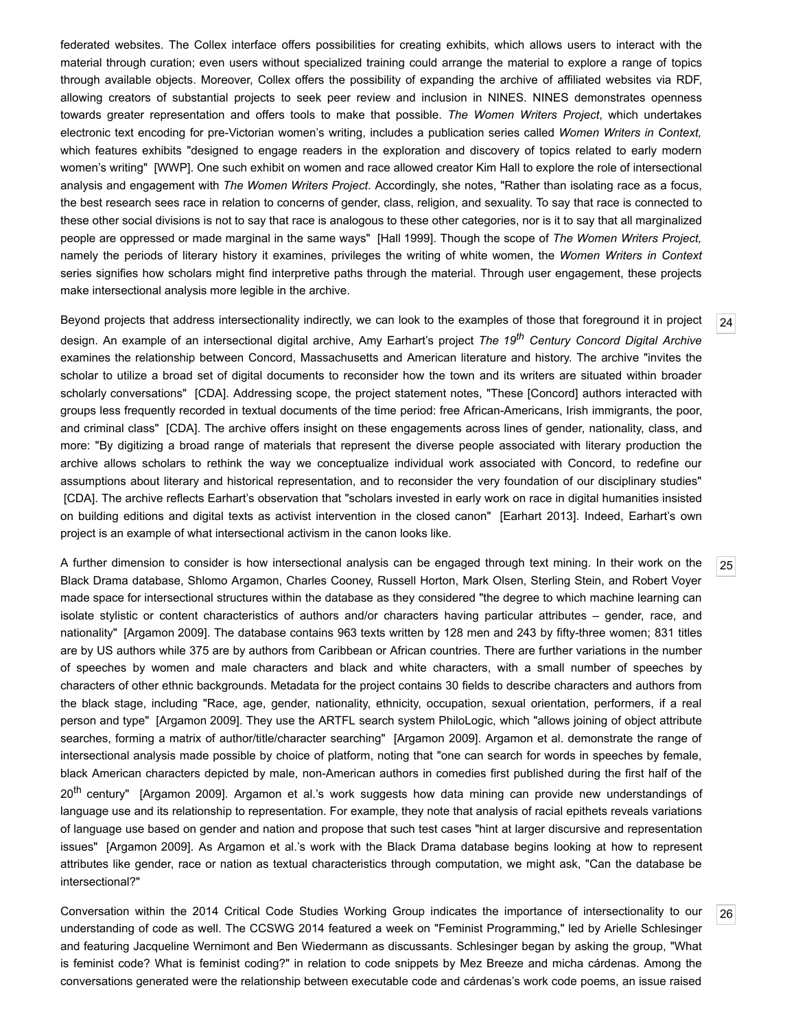federated websites. The Collex interface offers possibilities for creating exhibits, which allows users to interact with the material through curation; even users without specialized training could arrange the material to explore a range of topics through available objects. Moreover, Collex offers the possibility of expanding the archive of affiliated websites via RDF, allowing creators of substantial projects to seek peer review and inclusion in NINES. NINES demonstrates openness towards greater representation and offers tools to make that possible. *The Women Writers Project*, which undertakes electronic text encoding for pre-Victorian women's writing, includes a publication series called Women Writers in Context, which features exhibits "designed to engage readers in the exploration and discovery of topics related to early modern women's writing" [\[WWP](#page-12-11)]. One such exhibit on women and race allowed creator Kim Hall to explore the role of intersectional analysis and engagement with *The Women Writers Project*. Accordingly, she notes, "Rather than isolating race as a focus, the best research sees race in relation to concerns of gender, class, religion, and sexuality. To say that race is connected to these other social divisions is not to say that race is analogous to these other categories, nor is it to say that all marginalized people are oppressed or made marginal in the same ways" [Hall [1999\]](#page-10-22). Though the scope of *The Women Writers Project,* namely the periods of literary history it examines, privileges the writing of white women, the *Women Writers in Context* series signifies how scholars might find interpretive paths through the material. Through user engagement, these projects make intersectional analysis more legible in the archive.

<span id="page-7-0"></span>Beyond projects that address intersectionality indirectly, we can look to the examples of those that foreground it in project design. An example of an intersectional digital archive, Amy Earhart's project *The 19 th Century Concord Digital Archive* examines the relationship between Concord, Massachusetts and American literature and history. The archive "invites the scholar to utilize a broad set of digital documents to reconsider how the town and its writers are situated within broader scholarly conversations" [[CDA](#page-10-23)]. Addressing scope, the project statement notes, "These [Concord] authors interacted with groups less frequently recorded in textual documents of the time period: free African-Americans, Irish immigrants, the poor, and criminal class" [\[CDA\]](#page-10-23). The archive offers insight on these engagements across lines of gender, nationality, class, and more: "By digitizing a broad range of materials that represent the diverse people associated with literary production the archive allows scholars to rethink the way we conceptualize individual work associated with Concord, to redefine our assumptions about literary and historical representation, and to reconsider the very foundation of our disciplinary studies" [\[CDA\]](#page-10-23). The archive reflects Earhart's observation that "scholars invested in early work on race in digital humanities insisted on building editions and digital texts as activist intervention in the closed canon" [\[Earhart](#page-10-1) 2013]. Indeed, Earhart's own project is an example of what intersectional activism in the canon looks like.

<span id="page-7-1"></span>A further dimension to consider is how intersectional analysis can be engaged through text mining. In their work on the Black Drama database, Shlomo Argamon, Charles Cooney, Russell Horton, Mark Olsen, Sterling Stein, and Robert Voyer made space for intersectional structures within the database as they considered "the degree to which machine learning can isolate stylistic or content characteristics of authors and/or characters having particular attributes – gender, race, and nationality" [[Argamon](#page-10-24) 2009]. The database contains 963 texts written by 128 men and 243 by fifty-three women; 831 titles are by US authors while 375 are by authors from Caribbean or African countries. There are further variations in the number of speeches by women and male characters and black and white characters, with a small number of speeches by characters of other ethnic backgrounds. Metadata for the project contains 30 fields to describe characters and authors from the black stage, including "Race, age, gender, nationality, ethnicity, occupation, sexual orientation, performers, if a real person and type" [[Argamon](#page-10-24) 2009]. They use the ARTFL search system PhiloLogic, which "allows joining of object attribute searches, forming a matrix of author/title/character searching" [[Argamon](#page-10-24) 2009]. Argamon et al. demonstrate the range of intersectional analysis made possible by choice of platform, noting that "one can search for words in speeches by female, black American characters depicted by male, non-American authors in comedies first published during the first half of the 20<sup>th</sup> century" [\[Argamon](#page-10-24) 2009]. Argamon et al.'s work suggests how data mining can provide new understandings of language use and its relationship to representation. For example, they note that analysis of racial epithets reveals variations of language use based on gender and nation and propose that such test cases "hint at larger discursive and representation issues" [\[Argamon](#page-10-24) 2009]. As Argamon et al.'s work with the Black Drama database begins looking at how to represent attributes like gender, race or nation as textual characteristics through computation, we might ask, "Can the database be intersectional?"

<span id="page-7-2"></span>Conversation within the 2014 Critical Code Studies Working Group indicates the importance of intersectionality to our understanding of code as well. The CCSWG 2014 featured a week on "Feminist Programming," led by Arielle Schlesinger and featuring Jacqueline Wernimont and Ben Wiedermann as discussants. Schlesinger began by asking the group, "What is feminist code? What is feminist coding?" in relation to code snippets by Mez Breeze and micha cárdenas. Among the conversations generated were the relationship between executable code and cárdenas's work code poems, an issue raised

[25](#page-7-1)

[26](#page-7-2)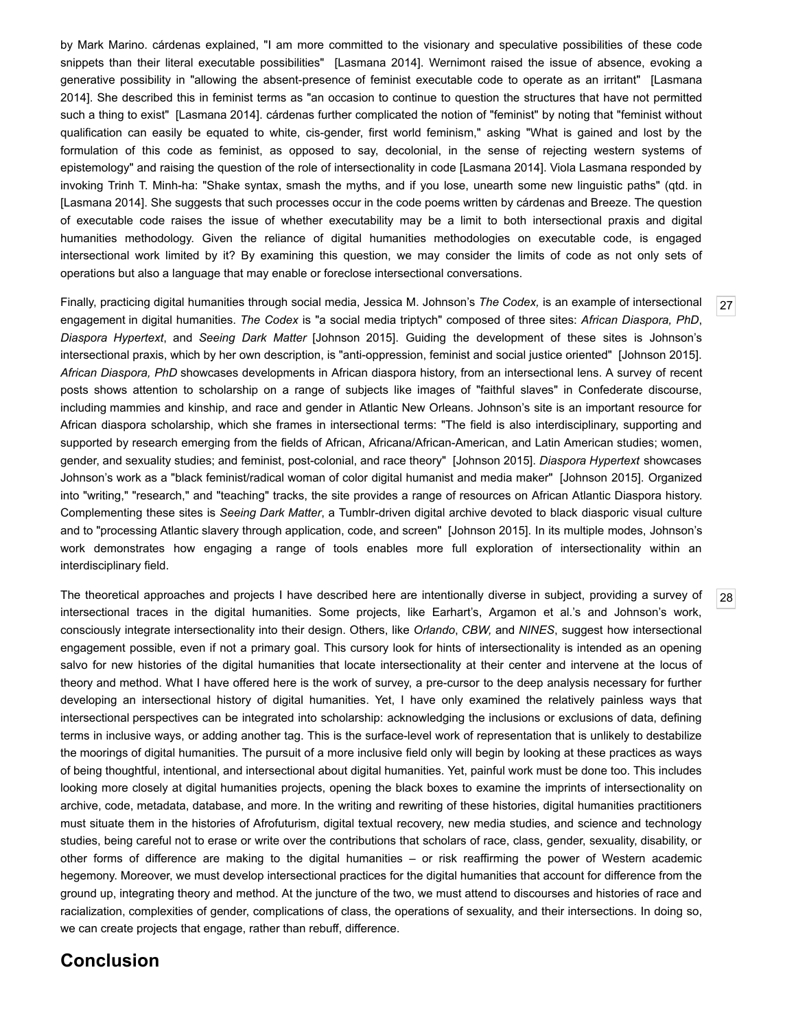by Mark Marino. cárdenas explained, "I am more committed to the visionary and speculative possibilities of these code snippets than their literal executable possibilities" [[Lasmana](#page-11-26) 2014]. Wernimont raised the issue of absence, evoking a generative possibility in "allowing the absent-presence of feminist executable code to operate as an irritant" [Lasmana 2014]. She described this in feminist terms as "an occasion to continue to question the structures that have not permitted such a thing to exist" [[Lasmana](#page-11-26) 2014]. cárdenas further complicated the notion of "feminist" by noting that "feminist without qualification can easily be equated to white, cis-gender, first world feminism," asking "What is gained and lost by the formulation of this code as feminist, as opposed to say, decolonial, in the sense of rejecting western systems of epistemology" and raising the question of the role of intersectionality in code [\[Lasmana](#page-11-26) 2014]. Viola Lasmana responded by invoking Trinh T. Minh-ha: "Shake syntax, smash the myths, and if you lose, unearth some new linguistic paths" (qtd. in [\[Lasmana](#page-11-26) 2014]. She suggests that such processes occur in the code poems written by cárdenas and Breeze. The question of executable code raises the issue of whether executability may be a limit to both intersectional praxis and digital humanities methodology. Given the reliance of digital humanities methodologies on executable code, is engaged intersectional work limited by it? By examining this question, we may consider the limits of code as not only sets of operations but also a language that may enable or foreclose intersectional conversations.

<span id="page-8-0"></span>Finally, practicing digital humanities through social media, Jessica M. Johnson's *The Codex,* is an example of intersectional engagement in digital humanities. *The Codex* is "a social media triptych" composed of three sites: *African Diaspora, PhD*, *Diaspora Hypertext*, and *Seeing Dark Matter* [[Johnson](#page-11-27) 2015]. Guiding the development of these sites is Johnson's intersectional praxis, which by her own description, is "anti-oppression, feminist and social justice oriented" [\[Johnson](#page-11-27) 2015]. *African Diaspora, PhD* showcases developments in African diaspora history, from an intersectional lens. A survey of recent posts shows attention to scholarship on a range of subjects like images of "faithful slaves" in Confederate discourse, including mammies and kinship, and race and gender in Atlantic New Orleans. Johnson's site is an important resource for African diaspora scholarship, which she frames in intersectional terms: "The field is also interdisciplinary, supporting and supported by research emerging from the fields of African, Africana/African-American, and Latin American studies; women, gender, and sexuality studies; and feminist, post-colonial, and race theory" [[Johnson](#page-11-27) 2015]. *Diaspora Hypertext* showcases Johnson's work as a "black feminist/radical woman of color digital humanist and media maker" [\[Johnson](#page-11-27) 2015]. Organized into "writing," "research," and "teaching" tracks, the site provides a range of resources on African Atlantic Diaspora history. Complementing these sites is Seeing Dark Matter, a Tumblr-driven digital archive devoted to black diasporic visual culture and to "processing Atlantic slavery through application, code, and screen" [\[Johnson](#page-11-27) 2015]. In its multiple modes, Johnson's work demonstrates how engaging a range of tools enables more full exploration of intersectionality within an interdisciplinary field.

<span id="page-8-1"></span>The theoretical approaches and projects I have described here are intentionally diverse in subject, providing a survey of intersectional traces in the digital humanities. Some projects, like Earhart's, Argamon et al.'s and Johnson's work, consciously integrate intersectionality into their design. Others, like *Orlando*, *CBW,* and *NINES*, suggest how intersectional engagement possible, even if not a primary goal. This cursory look for hints of intersectionality is intended as an opening salvo for new histories of the digital humanities that locate intersectionality at their center and intervene at the locus of theory and method. What I have offered here is the work of survey, a pre-cursor to the deep analysis necessary for further developing an intersectional history of digital humanities. Yet, I have only examined the relatively painless ways that intersectional perspectives can be integrated into scholarship: acknowledging the inclusions or exclusions of data, defining terms in inclusive ways, or adding another tag. This is the surface-level work of representation that is unlikely to destabilize the moorings of digital humanities. The pursuit of a more inclusive field only will begin by looking at these practices as ways of being thoughtful, intentional, and intersectional about digital humanities. Yet, painful work must be done too. This includes looking more closely at digital humanities projects, opening the black boxes to examine the imprints of intersectionality on archive, code, metadata, database, and more. In the writing and rewriting of these histories, digital humanities practitioners must situate them in the histories of Afrofuturism, digital textual recovery, new media studies, and science and technology studies, being careful not to erase or write over the contributions that scholars of race, class, gender, sexuality, disability, or other forms of difference are making to the digital humanities – or risk reaffirming the power of Western academic hegemony. Moreover, we must develop intersectional practices for the digital humanities that account for difference from the ground up, integrating theory and method. At the juncture of the two, we must attend to discourses and histories of race and racialization, complexities of gender, complications of class, the operations of sexuality, and their intersections. In doing so, we can create projects that engage, rather than rebuff, difference.

## **Conclusion**

[27](#page-8-0)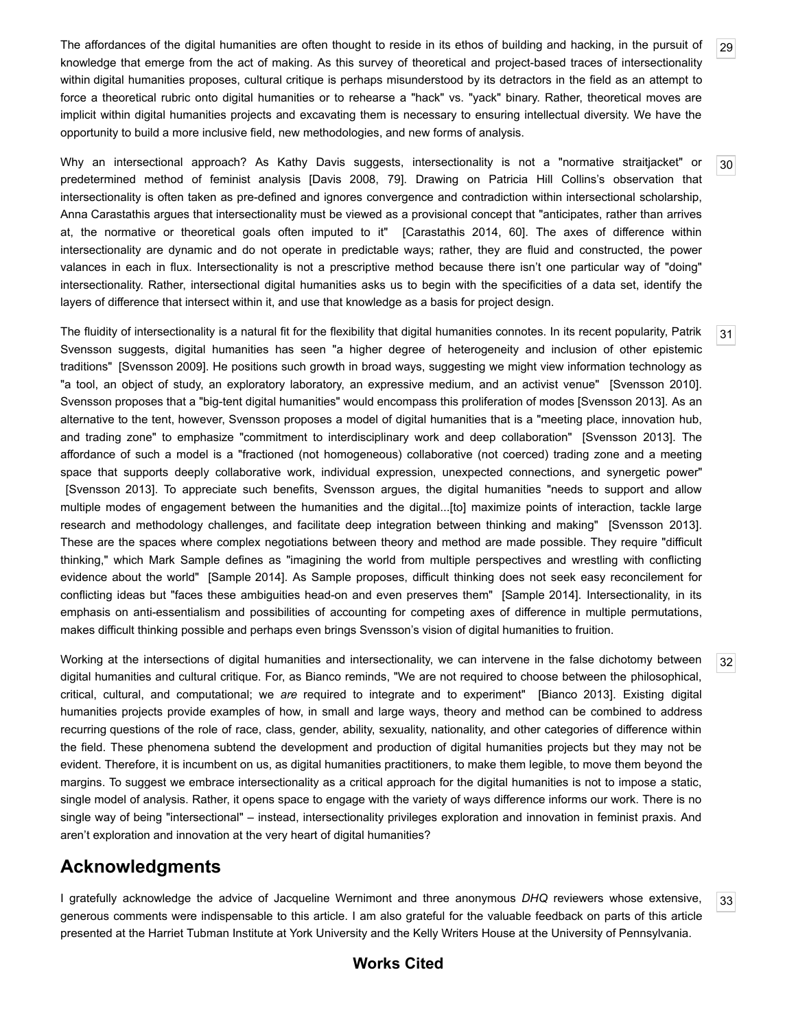<span id="page-9-0"></span>The affordances of the digital humanities are often thought to reside in its ethos of building and hacking, in the pursuit of knowledge that emerge from the act of making. As this survey of theoretical and project-based traces of intersectionality within digital humanities proposes, cultural critique is perhaps misunderstood by its detractors in the field as an attempt to force a theoretical rubric onto digital humanities or to rehearse a "hack" vs. "yack" binary. Rather, theoretical moves are implicit within digital humanities projects and excavating them is necessary to ensuring intellectual diversity. We have the opportunity to build a more inclusive field, new methodologies, and new forms of analysis.

<span id="page-9-1"></span>Why an intersectional approach? As Kathy Davis suggests, intersectionality is not a "normative straitjacket" or predetermined method of feminist analysis [\[Davis](#page-10-25) 2008, 79]. Drawing on Patricia Hill Collins's observation that intersectionality is often taken as pre-defined and ignores convergence and contradiction within intersectional scholarship, Anna Carastathis argues that intersectionality must be viewed as a provisional concept that "anticipates, rather than arrives at, the normative or theoretical goals often imputed to it" [[Carastathis](#page-10-26) 2014, 60]. The axes of difference within intersectionality are dynamic and do not operate in predictable ways; rather, they are fluid and constructed, the power valances in each in flux. Intersectionality is not a prescriptive method because there isn't one particular way of "doing" intersectionality. Rather, intersectional digital humanities asks us to begin with the specificities of a data set, identify the layers of difference that intersect within it, and use that knowledge as a basis for project design.

<span id="page-9-2"></span>The fluidity of intersectionality is a natural fit for the flexibility that digital humanities connotes. In its recent popularity, Patrik Svensson suggests, digital humanities has seen "a higher degree of heterogeneity and inclusion of other epistemic traditions" [[Svensson](#page-12-12) 2009]. He positions such growth in broad ways, suggesting we might view information technology as "a tool, an object of study, an exploratory laboratory, an expressive medium, and an activist venue" [[Svensson](#page-12-13) 2010]. [Svensson](#page-12-14) proposes that a "big-tent digital humanities" would encompass this proliferation of modes [Svensson 2013]. As an alternative to the tent, however, Svensson proposes a model of digital humanities that is a "meeting place, innovation hub, and trading zone" to emphasize "commitment to interdisciplinary work and deep collaboration" [[Svensson](#page-12-14) 2013]. The affordance of such a model is a "fractioned (not homogeneous) collaborative (not coerced) trading zone and a meeting space that supports deeply collaborative work, individual expression, unexpected connections, and synergetic power" [\[Svensson](#page-12-14) 2013]. To appreciate such benefits, Svensson argues, the digital humanities "needs to support and allow multiple modes of engagement between the humanities and the digital...[to] maximize points of interaction, tackle large research and methodology challenges, and facilitate deep integration between thinking and making" [[Svensson](#page-12-14) 2013]. These are the spaces where complex negotiations between theory and method are made possible. They require "difficult thinking," which Mark Sample defines as "imagining the world from multiple perspectives and wrestling with conflicting evidence about the world" [\[Sample](#page-12-15) 2014]. As Sample proposes, difficult thinking does not seek easy reconcilement for conflicting ideas but "faces these ambiguities head-on and even preserves them" [\[Sample](#page-12-15) 2014]. Intersectionality, in its emphasis on anti-essentialism and possibilities of accounting for competing axes of difference in multiple permutations, makes difficult thinking possible and perhaps even brings Svensson's vision of digital humanities to fruition.

<span id="page-9-3"></span>Working at the intersections of digital humanities and intersectionality, we can intervene in the false dichotomy between digital humanities and cultural critique. For, as Bianco reminds, "We are not required to choose between the philosophical, critical, cultural, and computational; we *are* required to integrate and to experiment" [[Bianco](#page-10-5) 2013]. Existing digital humanities projects provide examples of how, in small and large ways, theory and method can be combined to address recurring questions of the role of race, class, gender, ability, sexuality, nationality, and other categories of difference within the field. These phenomena subtend the development and production of digital humanities projects but they may not be evident. Therefore, it is incumbent on us, as digital humanities practitioners, to make them legible, to move them beyond the margins. To suggest we embrace intersectionality as a critical approach for the digital humanities is not to impose a static, single model of analysis. Rather, it opens space to engage with the variety of ways difference informs our work. There is no single way of being "intersectional" – instead, intersectionality privileges exploration and innovation in feminist praxis. And aren't exploration and innovation at the very heart of digital humanities?

# **Acknowledgments**

<span id="page-9-4"></span>I gratefully acknowledge the advice of Jacqueline Wernimont and three anonymous *DHQ* reviewers whose extensive, generous comments were indispensable to this article. I am also grateful for the valuable feedback on parts of this article presented at the Harriet Tubman Institute at York University and the Kelly Writers House at the University of Pennsylvania.

## [33](#page-9-4)

[32](#page-9-3)

[29](#page-9-0)

[30](#page-9-1)

[31](#page-9-2)

#### **Works Cited**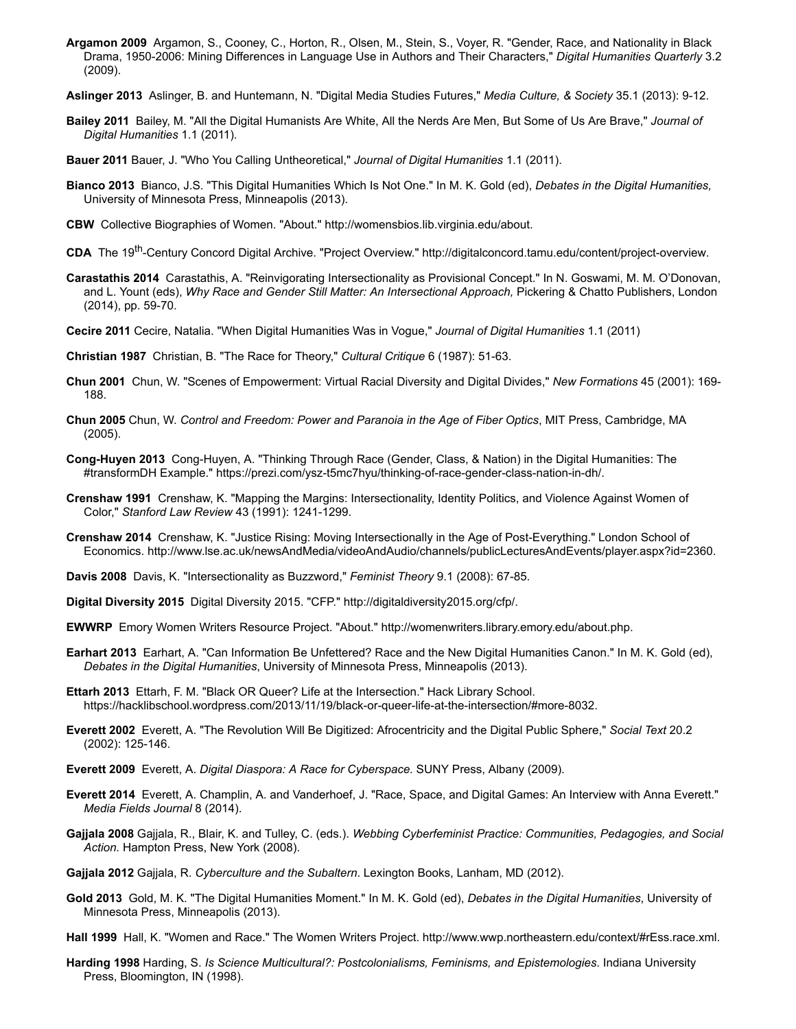- <span id="page-10-24"></span>**Argamon 2009** Argamon, S., Cooney, C., Horton, R., Olsen, M., Stein, S., Voyer, R. "Gender, Race, and Nationality in Black Drama, 19502006: Mining Differences in Language Use in Authors and Their Characters," *Digital Humanities Quarterly* 3.2 (2009).
- <span id="page-10-16"></span>**Aslinger 2013** Aslinger, B. and Huntemann, N. "Digital Media Studies Futures," *Media Culture, & Society* 35.1 (2013): 912.
- <span id="page-10-18"></span>**Bailey 2011** Bailey, M. "All the Digital Humanists Are White, All the Nerds Are Men, But Some of Us Are Brave," *Journal of Digital Humanities* 1.1 (2011).
- <span id="page-10-4"></span>**Bauer 2011** Bauer, J. "Who You Calling Untheoretical," *Journal of Digital Humanities* 1.1 (2011).
- <span id="page-10-5"></span>**Bianco 2013** Bianco, J.S. "This Digital Humanities Which Is Not One." In M. K. Gold (ed), *Debates in the Digital Humanities,* University of Minnesota Press, Minneapolis (2013).
- <span id="page-10-20"></span>**CBW** Collective Biographies of Women. "About." [http://womensbios.lib.virginia.edu/about.](http://womensbios.lib.virginia.edu/about)
- <span id="page-10-23"></span>CDA The 19<sup>th</sup>-Century Concord Digital Archive. "Project Overview." http://digitalconcord.tamu.edu/content/project-overview.
- <span id="page-10-26"></span>**Carastathis 2014** Carastathis, A. "Reinvigorating Intersectionality as Provisional Concept." In N. Goswami, M. M. O'Donovan, and L. Yount (eds), *Why Race and Gender Still Matter: An Intersectional Approach,* Pickering & Chatto Publishers, London (2014), pp. 59-70.
- <span id="page-10-3"></span>**Cecire 2011** Cecire, Natalia. "When Digital Humanities Was in Vogue," *Journal of Digital Humanities* 1.1 (2011)
- <span id="page-10-7"></span>**Christian 1987** Christian, B. "The Race for Theory," *Cultural Critique* 6 (1987): 51-63.
- <span id="page-10-9"></span>**Chun 2001** Chun, W. "Scenes of Empowerment: Virtual Racial Diversity and Digital Divides," *New Formations* 45 (2001): 169 188.
- <span id="page-10-10"></span>**Chun 2005** Chun, W. *Control and Freedom: Power and Paranoia in the Age of Fiber Optics*, MIT Press, Cambridge, MA (2005).
- <span id="page-10-8"></span>**Cong-Huyen 2013** Cong-Huyen, A. "Thinking Through Race (Gender, Class, & Nation) in the Digital Humanities: The #transformDH Example." https://prezi.com/ysz-t5mc7hyu/thinking-of-race-gender-class-nation-in-dh/.
- <span id="page-10-6"></span>**Crenshaw 1991** Crenshaw, K. "Mapping the Margins: Intersectionality, Identity Politics, and Violence Against Women of Color," Stanford Law Review 43 (1991): 1241-1299.
- **Crenshaw 2014** Crenshaw, K. "Justice Rising: Moving Intersectionally in the Age of Post-Everything." London School of Economics. <http://www.lse.ac.uk/newsAndMedia/videoAndAudio/channels/publicLecturesAndEvents/player.aspx?id=2360>.
- <span id="page-10-25"></span>**Davis 2008** Davis, K. "Intersectionality as Buzzword," *Feminist Theory* 9.1 (2008): 67-85.
- <span id="page-10-2"></span>**Digital Diversity 2015** Digital Diversity 2015. "CFP." <http://digitaldiversity2015.org/cfp/>.
- <span id="page-10-21"></span>**EWWRP** Emory Women Writers Resource Project. "About." <http://womenwriters.library.emory.edu/about.php>.
- <span id="page-10-1"></span>**Earhart 2013** Earhart, A. "Can Information Be Unfettered? Race and the New Digital Humanities Canon." In M. K. Gold (ed), *Debates in the Digital Humanities*, University of Minnesota Press, Minneapolis (2013).
- <span id="page-10-19"></span>**Ettarh 2013** Ettarh, F. M. "Black OR Queer? Life at the Intersection." Hack Library School. https://hacklibschool.wordpress.com/2013/11/19/black-or-queer-life-at-the-intersection/#more-8032.
- <span id="page-10-11"></span>**Everett 2002** Everett, A. "The Revolution Will Be Digitized: Afrocentricity and the Digital Public Sphere," *Social Text* 20.2 (2002): 125-146.
- <span id="page-10-12"></span>**Everett 2009** Everett, A. *Digital Diaspora: A Race for Cyberspace.* SUNY Press, Albany (2009).
- <span id="page-10-13"></span>**Everett 2014** Everett, A. Champlin, A. and Vanderhoef, J. "Race, Space, and Digital Games: An Interview with Anna Everett." *Media Fields Journal* 8 (2014).
- <span id="page-10-14"></span>**Gajjala 2008** Gajjala, R., Blair, K. and Tulley, C. (eds.). *Webbing Cyberfeminist Practice: Communities, Pedagogies, and Social Action.* Hampton Press, New York (2008).
- <span id="page-10-15"></span>**Gajjala 2012** Gajjala, R. *Cyberculture and the Subaltern*. Lexington Books, Lanham, MD (2012).
- <span id="page-10-0"></span>**Gold 2013** Gold, M. K. "The Digital Humanities Moment." In M. K. Gold (ed), *Debates in the Digital Humanities*, University of Minnesota Press, Minneapolis (2013).
- <span id="page-10-22"></span>**Hall 1999** Hall, K. "Women and Race." The Women Writers Project. <http://www.wwp.northeastern.edu/context/#rEss.race.xml>.
- <span id="page-10-17"></span>**Harding 1998** Harding, S. *Is Science Multicultural?: Postcolonialisms, Feminisms, and Epistemologies*. Indiana University Press, Bloomington, IN (1998).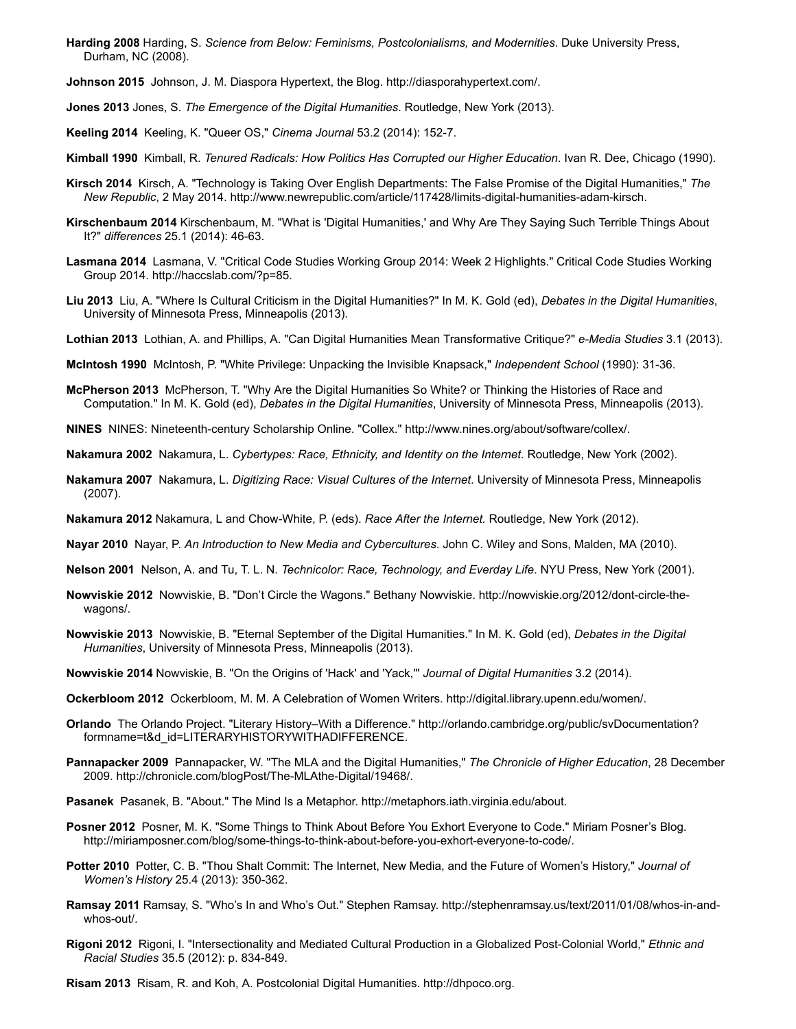<span id="page-11-18"></span>**Harding 2008** Harding, S. *Science from Below: Feminisms, Postcolonialisms, and Modernities*. Duke University Press, Durham, NC (2008).

<span id="page-11-27"></span>**Johnson 2015** Johnson, J. M. Diaspora Hypertext, the Blog. [http://diasporahypertext.com/.](http://diasporahypertext.com/)

<span id="page-11-5"></span>**Jones 2013** Jones, S. *The Emergence of the Digital Humanities*. Routledge, New York (2013).

<span id="page-11-21"></span>**Keeling 2014** Keeling, K. "Queer OS," *Cinema Journal* 53.2 (2014): 1527.

<span id="page-11-10"></span>**Kimball 1990** Kimball, R. *Tenured Radicals: How Politics Has Corrupted our Higher Education*. Ivan R. Dee, Chicago (1990).

- <span id="page-11-11"></span>**Kirsch 2014** Kirsch, A. "Technology is Taking Over English Departments: The False Promise of the Digital Humanities," *The New Republic*, 2 May 2014. http://www.newrepublic.com/article/117428/limits-digital-humanities-adam-kirsch.
- <span id="page-11-3"></span>**Kirschenbaum 2014** Kirschenbaum, M. "What is 'Digital Humanities,' and Why Are They Saying Such Terrible Things About It?" *differences* 25.1 (2014): 46-63.
- <span id="page-11-26"></span>**Lasmana 2014** Lasmana, V. "Critical Code Studies Working Group 2014: Week 2 Highlights." Critical Code Studies Working Group 2014. <http://haccslab.com/?p=85>.
- <span id="page-11-1"></span>**Liu 2013** Liu, A. "Where Is Cultural Criticism in the Digital Humanities?" In M. K. Gold (ed), *Debates in the Digital Humanities*, University of Minnesota Press, Minneapolis (2013).
- <span id="page-11-22"></span>**Lothian 2013** Lothian, A. and Phillips, A. "Can Digital Humanities Mean Transformative Critique?" *e-Media Studies* 3.1 (2013).
- <span id="page-11-8"></span>**McIntosh 1990** McIntosh, P. "White Privilege: Unpacking the Invisible Knapsack," *Independent School* (1990): 3136.
- <span id="page-11-2"></span>**McPherson 2013** McPherson, T. "Why Are the Digital Humanities So White? or Thinking the Histories of Race and Computation." In M. K. Gold (ed), *Debates in the Digital Humanities*, University of Minnesota Press, Minneapolis (2013).
- **NINES** NINES: Nineteenth-century Scholarship Online. "Collex." <http://www.nines.org/about/software/collex/>.

<span id="page-11-13"></span>**Nakamura 2002** Nakamura, L. *Cybertypes: Race, Ethnicity, and Identity on the Internet*. Routledge, New York (2002).

- <span id="page-11-15"></span>**Nakamura 2007** Nakamura, L. *Digitizing Race: Visual Cultures of the Internet*. University of Minnesota Press, Minneapolis (2007).
- <span id="page-11-14"></span>**Nakamura 2012** Nakamura, L and ChowWhite, P. (eds). *Race After the Internet.* Routledge, New York (2012).

<span id="page-11-16"></span>**Nayar 2010** Nayar, P. *An Introduction to New Media and Cybercultures*. John C. Wiley and Sons, Malden, MA (2010).

- **Nelson 2001** Nelson, A. and Tu, T. L. N. *Technicolor: Race, Technology, and Everday Life*. NYU Press, New York (2001).
- <span id="page-11-7"></span>**Nowviskie 2012** Nowviskie, B. "Don't Circle the Wagons." Bethany Nowviskie. http://nowviskie.org/2012/dont-circle-thewagons/.
- <span id="page-11-0"></span>**Nowviskie 2013** Nowviskie, B. "Eternal September of the Digital Humanities." In M. K. Gold (ed), *Debates in the Digital Humanities*, University of Minnesota Press, Minneapolis (2013).
- <span id="page-11-6"></span>**Nowviskie 2014** Nowviskie, B. "On the Origins of 'Hack' and 'Yack,'" *Journal of Digital Humanities* 3.2 (2014).
- <span id="page-11-25"></span>**Ockerbloom 2012** Ockerbloom, M. M. A Celebration of Women Writers. <http://digital.library.upenn.edu/women/>.
- <span id="page-11-23"></span>**Orlando** The Orlando Project. "Literary History–With a Difference." http://orlando.cambridge.org/public/svDocumentation? [formname=t&d\\_id=LITERARYHISTORYWITHADIFFERENCE.](http://orlando.cambridge.org/public/svDocumentation?formname=t&d_id=LITERARYHISTORYWITHADIFFERENCE)
- <span id="page-11-9"></span>**Pannapacker 2009** Pannapacker, W. "The MLA and the Digital Humanities," *The Chronicle of Higher Education*, 28 December 2009. http://chronicle.com/blogPost/The-MLAthe-Digital/19468/.
- <span id="page-11-24"></span>**Pasanek** Pasanek, B. "About." The Mind Is a Metaphor. [http://metaphors.iath.virginia.edu/about.](http://metaphors.iath.virginia.edu/about)
- <span id="page-11-20"></span>**Posner 2012** Posner, M. K. "Some Things to Think About Before You Exhort Everyone to Code." Miriam Posner's Blog. http://miriamposner.com/blog/some-things-to-think-about-before-you-exhort-everyone-to-code/.
- <span id="page-11-19"></span>**Potter 2010** Potter, C. B. "Thou Shalt Commit: The Internet, New Media, and the Future of Women's History," *Journal of Women's History* 25.4 (2013): 350-362.
- <span id="page-11-4"></span>Ramsay 2011 Ramsay, S. "Who's In and Who's Out." Stephen Ramsay. http://stephenramsay.us/text/2011/01/08/whos-in-and $whos$ - $out/$ .
- <span id="page-11-17"></span>**Rigoni 2012** Rigoni, I. "Intersectionality and Mediated Cultural Production in a Globalized PostColonial World," *Ethnic and Racial Studies* 35.5 (2012): p. 834-849.
- <span id="page-11-12"></span>**Risam 2013** Risam, R. and Koh, A. Postcolonial Digital Humanities. [http://dhpoco.org.](http://dhpoco.org/)